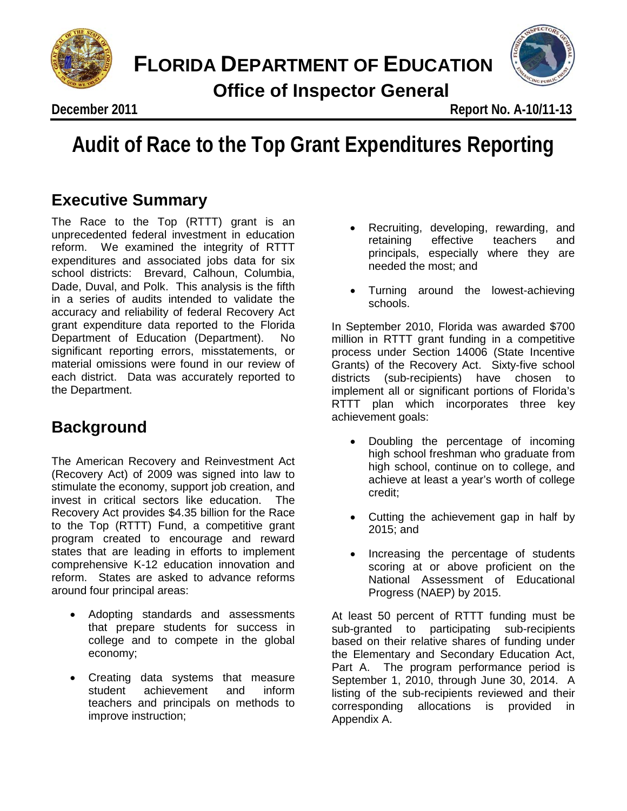



December 2011

**December 2011 Report No. A-10/11-13**

# Audit of Race to the Top Grant Expenditures Re **Audit of Race to the Top Grant Expenditures Reporting**

## **Executive Summary**

The Race to the Top (RTTT) grant is an unprecedented federal investment in education reform. We examined the integrity of RTTT expenditures and associated jobs data for six school districts: Brevard, Calhoun, Columbia, Dade, Duval, and Polk. This analysis is the fifth in a series of audits intended to validate the accuracy and reliability of federal Recovery Act grant expenditure data reported to the Florida Department of Education (Department). No significant reporting errors, misstatements, or material omissions were found in our review of each district. Data was accurately reported to the Department.

## **Background**

The American Recovery and Reinvestment Act (Recovery Act) of 2009 was signed into law to stimulate the economy, support job creation, and invest in critical sectors like education. The Recovery Act provides \$4.35 billion for the Race to the Top (RTTT) Fund, a competitive grant program created to encourage and reward states that are leading in efforts to implement comprehensive K-12 education innovation and reform. States are asked to advance reforms around four principal areas:

- Adopting standards and assessments that prepare students for success in college and to compete in the global economy;
- Creating data systems that measure student achievement and inform teachers and principals on methods to improve instruction;
- Recruiting, developing, rewarding, and retaining effective teachers and principals, especially where they are needed the most; and
- Turning around the lowest-achieving schools.

In September 2010, Florida was awarded \$700 million in RTTT grant funding in a competitive process under Section 14006 (State Incentive Grants) of the Recovery Act. Sixty-five school districts (sub-recipients) have chosen to implement all or significant portions of Florida's RTTT plan which incorporates three key achievement goals:

- Doubling the percentage of incoming high school freshman who graduate from high school, continue on to college, and achieve at least a year's worth of college credit;
- Cutting the achievement gap in half by 2015; and
- Increasing the percentage of students scoring at or above proficient on the National Assessment of Educational Progress (NAEP) by 2015.

At least 50 percent of RTTT funding must be sub-granted to participating sub-recipients based on their relative shares of funding under the Elementary and Secondary Education Act, Part A. The program performance period is September 1, 2010, through June 30, 2014. A listing of the sub-recipients reviewed and their corresponding allocations is provided in Appendix A.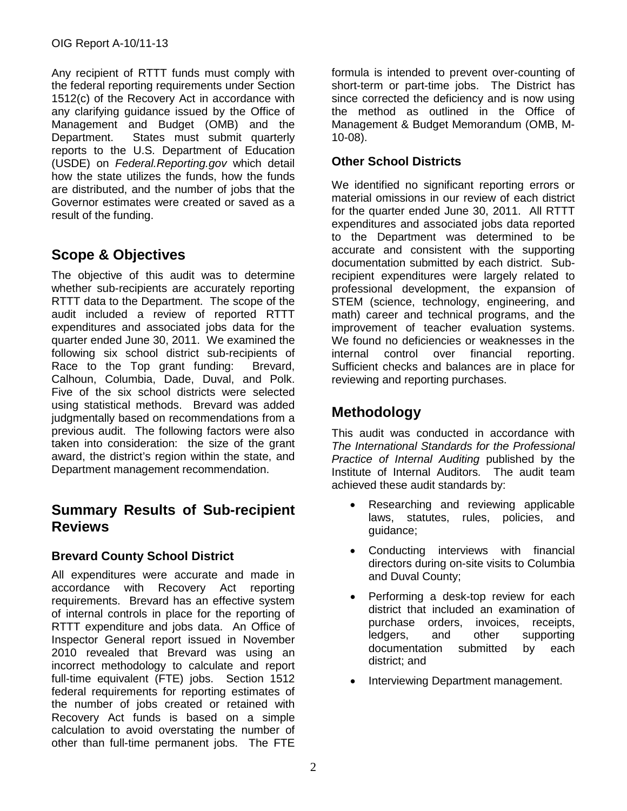Any recipient of RTTT funds must comply with the federal reporting requirements under Section 1512(c) of the Recovery Act in accordance with any clarifying guidance issued by the Office of Management and Budget (OMB) and the Department. States must submit quarterly reports to the U.S. Department of Education (USDE) on *Federal.Reporting.gov* which detail how the state utilizes the funds, how the funds are distributed, and the number of jobs that the Governor estimates were created or saved as a result of the funding.

## **Scope & Objectives**

The objective of this audit was to determine whether sub-recipients are accurately reporting RTTT data to the Department. The scope of the audit included a review of reported RTTT expenditures and associated jobs data for the quarter ended June 30, 2011. We examined the following six school district sub-recipients of Race to the Top grant funding: Brevard, Calhoun, Columbia, Dade, Duval, and Polk. Five of the six school districts were selected using statistical methods. Brevard was added judgmentally based on recommendations from a previous audit. The following factors were also taken into consideration: the size of the grant award, the district's region within the state, and Department management recommendation.

### **Summary Results of Sub-recipient Reviews**

#### **Brevard County School District**

All expenditures were accurate and made in accordance with Recovery Act reporting requirements. Brevard has an effective system of internal controls in place for the reporting of RTTT expenditure and jobs data. An Office of Inspector General report issued in November 2010 revealed that Brevard was using an incorrect methodology to calculate and report full-time equivalent (FTE) jobs. Section 1512 federal requirements for reporting estimates of the number of jobs created or retained with Recovery Act funds is based on a simple calculation to avoid overstating the number of other than full-time permanent jobs. The FTE

formula is intended to prevent over-counting of short-term or part-time jobs. The District has since corrected the deficiency and is now using the method as outlined in the Office of Management & Budget Memorandum (OMB, M-10-08).

#### **Other School Districts**

We identified no significant reporting errors or material omissions in our review of each district for the quarter ended June 30, 2011. All RTTT expenditures and associated jobs data reported to the Department was determined to be accurate and consistent with the supporting documentation submitted by each district. Subrecipient expenditures were largely related to professional development, the expansion of STEM (science, technology, engineering, and math) career and technical programs, and the improvement of teacher evaluation systems. We found no deficiencies or weaknesses in the internal control over financial reporting. Sufficient checks and balances are in place for reviewing and reporting purchases.

## **Methodology**

This audit was conducted in accordance with *The International Standards for the Professional Practice of Internal Auditing* published by the Institute of Internal Auditors*.* The audit team achieved these audit standards by:

- Researching and reviewing applicable laws, statutes, rules, policies, and guidance;
- Conducting interviews with financial directors during on-site visits to Columbia and Duval County;
- Performing a desk-top review for each district that included an examination of purchase orders, invoices, receipts, ledgers, and other supporting documentation submitted by each district; and
- Interviewing Department management.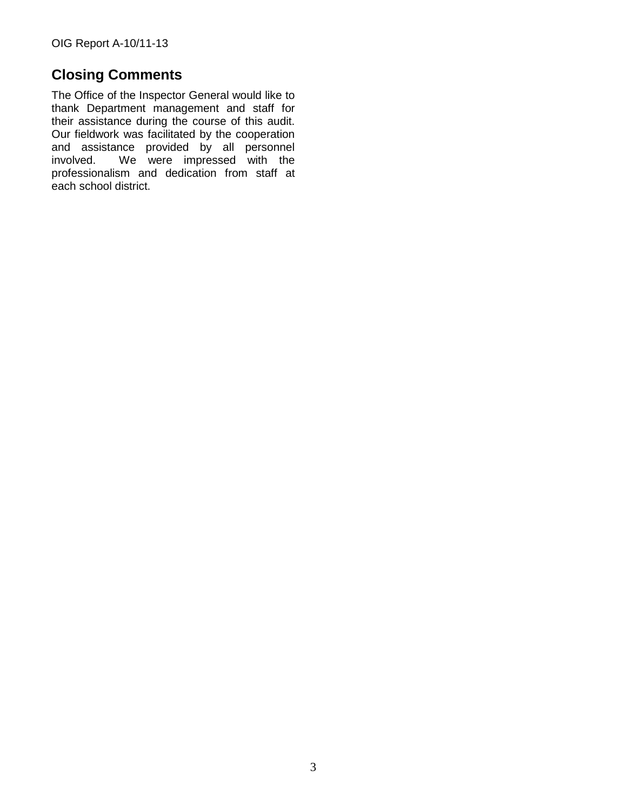## **Closing Comments**

The Office of the Inspector General would like to thank Department management and staff for their assistance during the course of this audit. Our fieldwork was facilitated by the cooperation and assistance provided by all personnel involved. We were impressed with the professionalism and dedication from staff at each school district.